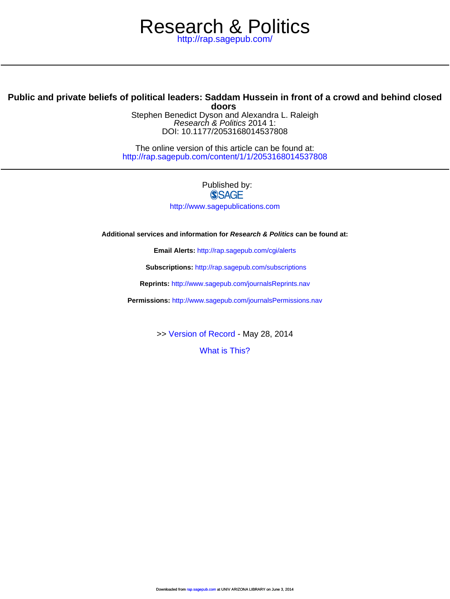# <http://rap.sagepub.com/> Research & Politics

**doors Public and private beliefs of political leaders: Saddam Hussein in front of a crowd and behind closed**

> DOI: 10.1177/2053168014537808 Research & Politics 2014 1: Stephen Benedict Dyson and Alexandra L. Raleigh

<http://rap.sagepub.com/content/1/1/2053168014537808> The online version of this article can be found at:

> Published by:<br>
> SAGE <http://www.sagepublications.com>

**Additional services and information for Research & Politics can be found at:**

**Email Alerts:** <http://rap.sagepub.com/cgi/alerts>

**Subscriptions:** <http://rap.sagepub.com/subscriptions>

**Reprints:** <http://www.sagepub.com/journalsReprints.nav>

**Permissions:** <http://www.sagepub.com/journalsPermissions.nav>

>> [Version of Record -](http://rap.sagepub.com/content/1/1/2053168014537808.full.pdf) May 28, 2014

[What is This?](http://online.sagepub.com/site/sphelp/vorhelp.xhtml)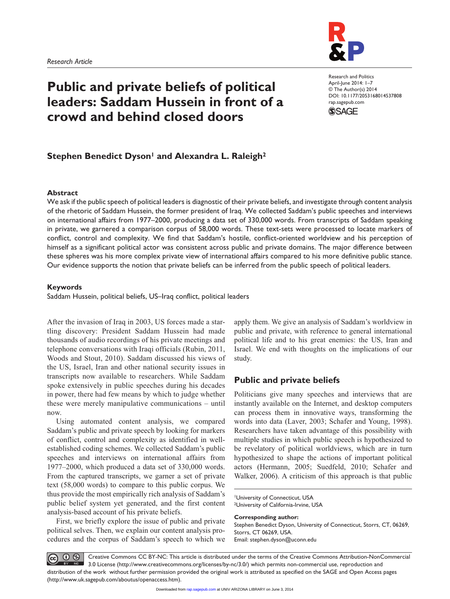*Research Article*



# **Public and private beliefs of political leaders: Saddam Hussein in front of a crowd and behind closed doors**

Research and Politics April-June 2014: 1–7 © The Author(s) 2014 DOI: 10.1177/2053168014537808 rap.sagepub.com **SSAGE** 

# **Stephen Benedict Dyson<sup>1</sup> and Alexandra L. Raleigh<sup>2</sup>**

#### **Abstract**

We ask if the public speech of political leaders is diagnostic of their private beliefs, and investigate through content analysis of the rhetoric of Saddam Hussein, the former president of Iraq. We collected Saddam's public speeches and interviews on international affairs from 1977–2000, producing a data set of 330,000 words. From transcripts of Saddam speaking in private, we garnered a comparison corpus of 58,000 words. These text-sets were processed to locate markers of conflict, control and complexity. We find that Saddam's hostile, conflict-oriented worldview and his perception of himself as a significant political actor was consistent across public and private domains. The major difference between these spheres was his more complex private view of international affairs compared to his more definitive public stance. Our evidence supports the notion that private beliefs can be inferred from the public speech of political leaders.

#### **Keywords**

Saddam Hussein, political beliefs, US–Iraq conflict, political leaders

After the invasion of Iraq in 2003, US forces made a startling discovery: President Saddam Hussein had made thousands of audio recordings of his private meetings and telephone conversations with Iraqi officials (Rubin, 2011, Woods and Stout, 2010). Saddam discussed his views of the US, Israel, Iran and other national security issues in transcripts now available to researchers. While Saddam spoke extensively in public speeches during his decades in power, there had few means by which to judge whether these were merely manipulative communications – until now.

Using automated content analysis, we compared Saddam's public and private speech by looking for markers of conflict, control and complexity as identified in wellestablished coding schemes. We collected Saddam's public speeches and interviews on international affairs from 1977–2000, which produced a data set of 330,000 words. From the captured transcripts, we garner a set of private text (58,000 words) to compare to this public corpus. We thus provide the most empirically rich analysis of Saddam's public belief system yet generated, and the first content analysis-based account of his private beliefs.

First, we briefly explore the issue of public and private political selves. Then, we explain our content analysis procedures and the corpus of Saddam's speech to which we apply them. We give an analysis of Saddam's worldview in public and private, with reference to general international political life and to his great enemies: the US, Iran and Israel. We end with thoughts on the implications of our study.

# **Public and private beliefs**

Politicians give many speeches and interviews that are instantly available on the Internet, and desktop computers can process them in innovative ways, transforming the words into data (Laver, 2003; Schafer and Young, 1998). Researchers have taken advantage of this possibility with multiple studies in which public speech is hypothesized to be revelatory of political worldviews, which are in turn hypothesized to shape the actions of important political actors (Hermann, 2005; Suedfeld, 2010; Schafer and Walker, 2006). A criticism of this approach is that public

#### **Corresponding author:**

Stephen Benedict Dyson, University of Connecticut, Storrs, CT, 06269, Storrs, CT 06269, USA. Email: stephen.dyson@uconn.edu

 $\odot$   $\odot$ Creative Commons CC BY-NC: This article is distributed under the terms of the Creative Commons Attribution-NonCommercial (cc) 3.0 License (http://www.creativecommons.org/licenses/by-nc/3.0/) which permits non-commercial use, reproduction and distribution of the work without further permission provided the original work is attributed as specified on the SAGE and Open Access pages (http://www.uk.sagepub.com/aboutus/openaccess.htm).

<sup>1</sup>University of Connecticut, USA 2University of California-Irvine, USA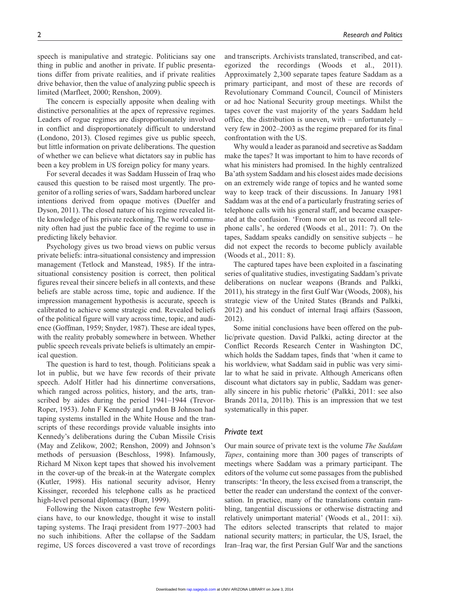speech is manipulative and strategic. Politicians say one thing in public and another in private. If public presentations differ from private realities, and if private realities drive behavior, then the value of analyzing public speech is limited (Marfleet, 2000; Renshon, 2009).

The concern is especially apposite when dealing with distinctive personalities at the apex of repressive regimes. Leaders of rogue regimes are disproportionately involved in conflict and disproportionately difficult to understand (Londono, 2013). Closed regimes give us public speech, but little information on private deliberations. The question of whether we can believe what dictators say in public has been a key problem in US foreign policy for many years.

For several decades it was Saddam Hussein of Iraq who caused this question to be raised most urgently. The progenitor of a rolling series of wars, Saddam harbored unclear intentions derived from opaque motives (Duelfer and Dyson, 2011). The closed nature of his regime revealed little knowledge of his private reckoning. The world community often had just the public face of the regime to use in predicting likely behavior.

Psychology gives us two broad views on public versus private beliefs: intra-situational consistency and impression management (Tetlock and Manstead, 1985). If the intrasituational consistency position is correct, then political figures reveal their sincere beliefs in all contexts, and these beliefs are stable across time, topic and audience. If the impression management hypothesis is accurate, speech is calibrated to achieve some strategic end. Revealed beliefs of the political figure will vary across time, topic, and audience (Goffman, 1959; Snyder, 1987). These are ideal types, with the reality probably somewhere in between. Whether public speech reveals private beliefs is ultimately an empirical question.

The question is hard to test, though. Politicians speak a lot in public, but we have few records of their private speech. Adolf Hitler had his dinnertime conversations, which ranged across politics, history, and the arts, transcribed by aides during the period 1941–1944 (Trevor-Roper, 1953). John F Kennedy and Lyndon B Johnson had taping systems installed in the White House and the transcripts of these recordings provide valuable insights into Kennedy's deliberations during the Cuban Missile Crisis (May and Zelikow, 2002; Renshon, 2009) and Johnson's methods of persuasion (Beschloss, 1998). Infamously, Richard M Nixon kept tapes that showed his involvement in the cover-up of the break-in at the Watergate complex (Kutler, 1998). His national security advisor, Henry Kissinger, recorded his telephone calls as he practiced high-level personal diplomacy (Burr, 1999).

Following the Nixon catastrophe few Western politicians have, to our knowledge, thought it wise to install taping systems. The Iraqi president from 1977–2003 had no such inhibitions. After the collapse of the Saddam regime, US forces discovered a vast trove of recordings and transcripts. Archivists translated, transcribed, and categorized the recordings (Woods et al., 2011). Approximately 2,300 separate tapes feature Saddam as a primary participant, and most of these are records of Revolutionary Command Council, Council of Ministers or ad hoc National Security group meetings. Whilst the tapes cover the vast majority of the years Saddam held office, the distribution is uneven, with – unfortunately – very few in 2002–2003 as the regime prepared for its final confrontation with the US.

Why would a leader as paranoid and secretive as Saddam make the tapes? It was important to him to have records of what his ministers had promised. In the highly centralized Ba'ath system Saddam and his closest aides made decisions on an extremely wide range of topics and he wanted some way to keep track of their discussions. In January 1981 Saddam was at the end of a particularly frustrating series of telephone calls with his general staff, and became exasperated at the confusion. 'From now on let us record all telephone calls', he ordered (Woods et al., 2011: 7). On the tapes, Saddam speaks candidly on sensitive subjects – he did not expect the records to become publicly available (Woods et al., 2011: 8).

The captured tapes have been exploited in a fascinating series of qualitative studies, investigating Saddam's private deliberations on nuclear weapons (Brands and Palkki, 2011), his strategy in the first Gulf War (Woods, 2008), his strategic view of the United States (Brands and Palkki, 2012) and his conduct of internal Iraqi affairs (Sassoon, 2012).

Some initial conclusions have been offered on the public/private question. David Palkki, acting director at the Conflict Records Research Center in Washington DC, which holds the Saddam tapes, finds that 'when it came to his worldview, what Saddam said in public was very similar to what he said in private. Although Americans often discount what dictators say in public, Saddam was generally sincere in his public rhetoric' (Palkki, 2011: see also Brands 2011a, 2011b). This is an impression that we test systematically in this paper.

#### *Private text*

Our main source of private text is the volume *The Saddam Tapes*, containing more than 300 pages of transcripts of meetings where Saddam was a primary participant. The editors of the volume cut some passages from the published transcripts: 'In theory, the less excised from a transcript, the better the reader can understand the context of the conversation. In practice, many of the translations contain rambling, tangential discussions or otherwise distracting and relatively unimportant material' (Woods et al., 2011: xi). The editors selected transcripts that related to major national security matters; in particular, the US, Israel, the Iran–Iraq war, the first Persian Gulf War and the sanctions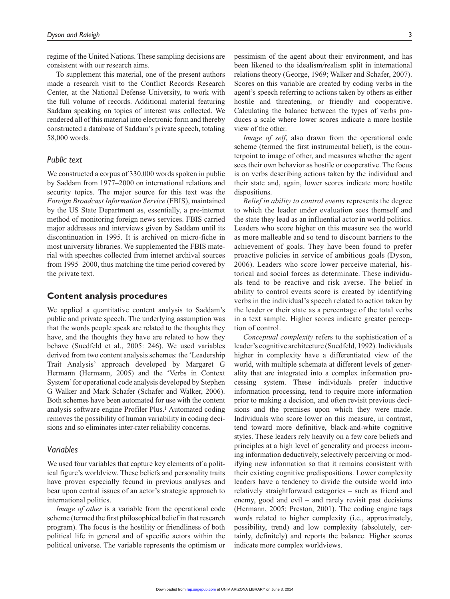regime of the United Nations. These sampling decisions are consistent with our research aims.

To supplement this material, one of the present authors made a research visit to the Conflict Records Research Center, at the National Defense University, to work with the full volume of records. Additional material featuring Saddam speaking on topics of interest was collected. We rendered all of this material into electronic form and thereby constructed a database of Saddam's private speech, totaling 58,000 words.

#### *Public text*

We constructed a corpus of 330,000 words spoken in public by Saddam from 1977–2000 on international relations and security topics. The major source for this text was the *Foreign Broadcast Information Service* (FBIS), maintained by the US State Department as, essentially, a pre-internet method of monitoring foreign news services. FBIS carried major addresses and interviews given by Saddam until its discontinuation in 1995. It is archived on micro-fiche in most university libraries. We supplemented the FBIS material with speeches collected from internet archival sources from 1995–2000, thus matching the time period covered by the private text.

#### **Content analysis procedures**

We applied a quantitative content analysis to Saddam's public and private speech. The underlying assumption was that the words people speak are related to the thoughts they have, and the thoughts they have are related to how they behave (Suedfeld et al., 2005: 246). We used variables derived from two content analysis schemes: the 'Leadership Trait Analysis' approach developed by Margaret G Hermann (Hermann, 2005) and the 'Verbs in Context System' for operational code analysis developed by Stephen G Walker and Mark Schafer (Schafer and Walker, 2006). Both schemes have been automated for use with the content analysis software engine Profiler Plus.1 Automated coding removes the possibility of human variability in coding decisions and so eliminates inter-rater reliability concerns.

### *Variables*

We used four variables that capture key elements of a political figure's worldview. These beliefs and personality traits have proven especially fecund in previous analyses and bear upon central issues of an actor's strategic approach to international politics.

*Image of other* is a variable from the operational code scheme (termed the first philosophical belief in that research program). The focus is the hostility or friendliness of both political life in general and of specific actors within the political universe. The variable represents the optimism or

pessimism of the agent about their environment, and has been likened to the idealism/realism split in international relations theory (George, 1969; Walker and Schafer, 2007). Scores on this variable are created by coding verbs in the agent's speech referring to actions taken by others as either hostile and threatening, or friendly and cooperative. Calculating the balance between the types of verbs produces a scale where lower scores indicate a more hostile view of the other.

*Image of self*, also drawn from the operational code scheme (termed the first instrumental belief), is the counterpoint to image of other, and measures whether the agent sees their own behavior as hostile or cooperative. The focus is on verbs describing actions taken by the individual and their state and, again, lower scores indicate more hostile dispositions.

*Belief in ability to control events* represents the degree to which the leader under evaluation sees themself and the state they lead as an influential actor in world politics. Leaders who score higher on this measure see the world as more malleable and so tend to discount barriers to the achievement of goals. They have been found to prefer proactive policies in service of ambitious goals (Dyson, 2006). Leaders who score lower perceive material, historical and social forces as determinate. These individuals tend to be reactive and risk averse. The belief in ability to control events score is created by identifying verbs in the individual's speech related to action taken by the leader or their state as a percentage of the total verbs in a text sample. Higher scores indicate greater perception of control.

*Conceptual complexity* refers to the sophistication of a leader's cognitive architecture (Suedfeld, 1992). Individuals higher in complexity have a differentiated view of the world, with multiple schemata at different levels of generality that are integrated into a complex information processing system. These individuals prefer inductive information processing, tend to require more information prior to making a decision, and often revisit previous decisions and the premises upon which they were made. Individuals who score lower on this measure, in contrast, tend toward more definitive, black-and-white cognitive styles. These leaders rely heavily on a few core beliefs and principles at a high level of generality and process incoming information deductively, selectively perceiving or modifying new information so that it remains consistent with their existing cognitive predispositions. Lower complexity leaders have a tendency to divide the outside world into relatively straightforward categories – such as friend and enemy, good and evil – and rarely revisit past decisions (Hermann, 2005; Preston, 2001). The coding engine tags words related to higher complexity (i.e., approximately, possibility, trend) and low complexity (absolutely, certainly, definitely) and reports the balance. Higher scores indicate more complex worldviews.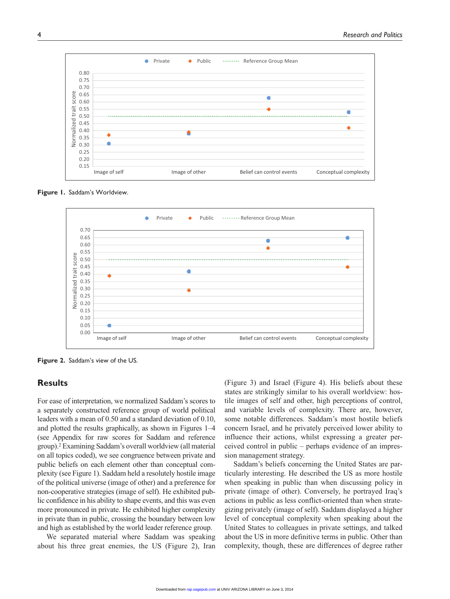

**Figure 1.** Saddam's Worldview.



**Figure 2.** Saddam's view of the US.

### **Results**

For ease of interpretation, we normalized Saddam's scores to a separately constructed reference group of world political leaders with a mean of 0.50 and a standard deviation of 0.10, and plotted the results graphically, as shown in Figures 1–4 (see Appendix for raw scores for Saddam and reference group).2 Examining Saddam's overall worldview (all material on all topics coded), we see congruence between private and public beliefs on each element other than conceptual complexity (see Figure 1). Saddam held a resolutely hostile image of the political universe (image of other) and a preference for non-cooperative strategies (image of self). He exhibited public confidence in his ability to shape events, and this was even more pronounced in private. He exhibited higher complexity in private than in public, crossing the boundary between low and high as established by the world leader reference group.

We separated material where Saddam was speaking about his three great enemies, the US (Figure 2), Iran

(Figure 3) and Israel (Figure 4). His beliefs about these states are strikingly similar to his overall worldview: hostile images of self and other, high perceptions of control, and variable levels of complexity. There are, however, some notable differences. Saddam's most hostile beliefs concern Israel, and he privately perceived lower ability to influence their actions, whilst expressing a greater perceived control in public – perhaps evidence of an impression management strategy.

Saddam's beliefs concerning the United States are particularly interesting. He described the US as more hostile when speaking in public than when discussing policy in private (image of other). Conversely, he portrayed Iraq's actions in public as less conflict-oriented than when strategizing privately (image of self). Saddam displayed a higher level of conceptual complexity when speaking about the United States to colleagues in private settings, and talked about the US in more definitive terms in public. Other than complexity, though, these are differences of degree rather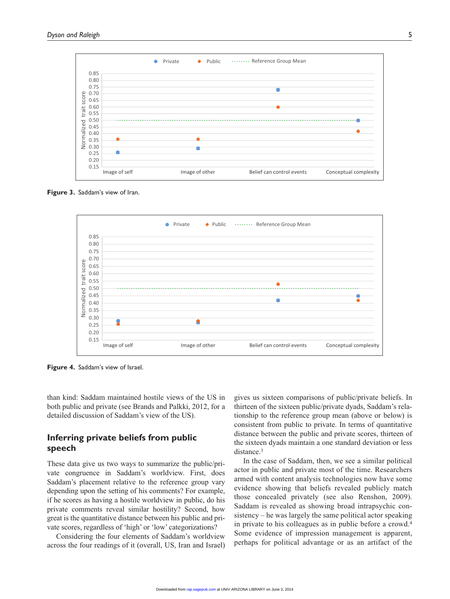

**Figure 3.** Saddam's view of Iran.



**Figure 4.** Saddam's view of Israel.

than kind: Saddam maintained hostile views of the US in both public and private (see Brands and Palkki, 2012, for a detailed discussion of Saddam's view of the US).

# **Inferring private beliefs from public speech**

These data give us two ways to summarize the public/private congruence in Saddam's worldview. First, does Saddam's placement relative to the reference group vary depending upon the setting of his comments? For example, if he scores as having a hostile worldview in public, do his private comments reveal similar hostility? Second, how great is the quantitative distance between his public and private scores, regardless of 'high' or 'low' categorizations?

Considering the four elements of Saddam's worldview across the four readings of it (overall, US, Iran and Israel) gives us sixteen comparisons of public/private beliefs. In thirteen of the sixteen public/private dyads, Saddam's relationship to the reference group mean (above or below) is consistent from public to private. In terms of quantitative distance between the public and private scores, thirteen of the sixteen dyads maintain a one standard deviation or less distance.<sup>3</sup>

In the case of Saddam, then, we see a similar political actor in public and private most of the time. Researchers armed with content analysis technologies now have some evidence showing that beliefs revealed publicly match those concealed privately (see also Renshon, 2009). Saddam is revealed as showing broad intrapsychic consistency – he was largely the same political actor speaking in private to his colleagues as in public before a crowd.4 Some evidence of impression management is apparent, perhaps for political advantage or as an artifact of the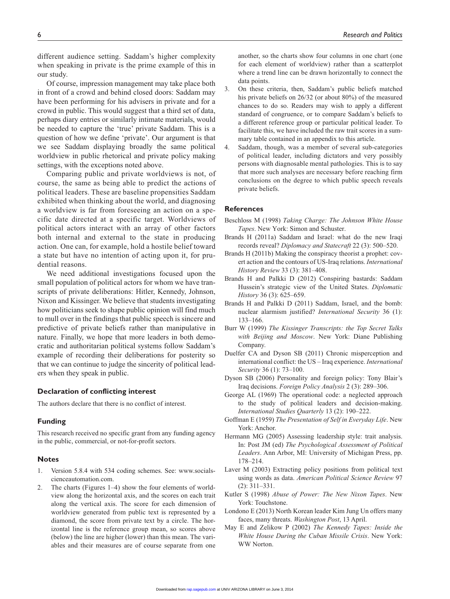different audience setting. Saddam's higher complexity when speaking in private is the prime example of this in our study.

Of course, impression management may take place both in front of a crowd and behind closed doors: Saddam may have been performing for his advisers in private and for a crowd in public. This would suggest that a third set of data, perhaps diary entries or similarly intimate materials, would be needed to capture the 'true' private Saddam. This is a question of how we define 'private'. Our argument is that we see Saddam displaying broadly the same political worldview in public rhetorical and private policy making settings, with the exceptions noted above.

Comparing public and private worldviews is not, of course, the same as being able to predict the actions of political leaders. These are baseline propensities Saddam exhibited when thinking about the world, and diagnosing a worldview is far from foreseeing an action on a specific date directed at a specific target. Worldviews of political actors interact with an array of other factors both internal and external to the state in producing action. One can, for example, hold a hostile belief toward a state but have no intention of acting upon it, for prudential reasons.

We need additional investigations focused upon the small population of political actors for whom we have transcripts of private deliberations: Hitler, Kennedy, Johnson, Nixon and Kissinger. We believe that students investigating how politicians seek to shape public opinion will find much to mull over in the findings that public speech is sincere and predictive of private beliefs rather than manipulative in nature. Finally, we hope that more leaders in both democratic and authoritarian political systems follow Saddam's example of recording their deliberations for posterity so that we can continue to judge the sincerity of political leaders when they speak in public.

#### **Declaration of conflicting interest**

The authors declare that there is no conflict of interest.

#### **Funding**

This research received no specific grant from any funding agency in the public, commercial, or not-for-profit sectors.

#### **Notes**

- 1. Version 5.8.4 with 534 coding schemes. See: www.socialscienceautomation.com.
- 2. The charts (Figures 1–4) show the four elements of worldview along the horizontal axis, and the scores on each trait along the vertical axis. The score for each dimension of worldview generated from public text is represented by a diamond, the score from private text by a circle. The horizontal line is the reference group mean, so scores above (below) the line are higher (lower) than this mean. The variables and their measures are of course separate from one

another, so the charts show four columns in one chart (one for each element of worldview) rather than a scatterplot where a trend line can be drawn horizontally to connect the data points.

- 3. On these criteria, then, Saddam's public beliefs matched his private beliefs on 26/32 (or about 80%) of the measured chances to do so. Readers may wish to apply a different standard of congruence, or to compare Saddam's beliefs to a different reference group or particular political leader. To facilitate this, we have included the raw trait scores in a summary table contained in an appendix to this article.
- 4. Saddam, though, was a member of several sub-categories of political leader, including dictators and very possibly persons with diagnosable mental pathologies. This is to say that more such analyses are necessary before reaching firm conclusions on the degree to which public speech reveals private beliefs.

#### **References**

- Beschloss M (1998) *Taking Charge: The Johnson White House Tapes*. New York: Simon and Schuster.
- Brands H (2011a) Saddam and Israel: what do the new Iraqi records reveal? *Diplomacy and Statecraft* 22 (3): 500–520.
- Brands H (2011b) Making the conspiracy theorist a prophet: covert action and the contours of US-Iraq relations. *International History Review* 33 (3): 381–408.
- Brands H and Palkki D (2012) Conspiring bastards: Saddam Hussein's strategic view of the United States. *Diplomatic History* 36 (3): 625–659.
- Brands H and Palkki D (2011) Saddam, Israel, and the bomb: nuclear alarmism justified? *International Security* 36 (1): 133–166.
- Burr W (1999) *The Kissinger Transcripts: the Top Secret Talks with Beijing and Moscow*. New York: Diane Publishing Company.
- Duelfer CA and Dyson SB (2011) Chronic misperception and international conflict: the US – Iraq experience. *International Security* 36 (1): 73–100.
- Dyson SB (2006) Personality and foreign policy: Tony Blair's Iraq decisions. *Foreign Policy Analysis* 2 (3): 289–306.
- George AL (1969) The operational code: a neglected approach to the study of political leaders and decision-making. *International Studies Quarterly* 13 (2): 190–222.
- Goffman E (1959) *The Presentation of Self in Everyday Life*. New York: Anchor.
- Hermann MG (2005) Assessing leadership style: trait analysis. In: Post JM (ed) *The Psychological Assessment of Political Leaders*. Ann Arbor, MI: University of Michigan Press, pp. 178–214.
- Laver M (2003) Extracting policy positions from political text using words as data. *American Political Science Review* 97 (2): 311–331.
- Kutler S (1998) *Abuse of Power: The New Nixon Tapes*. New York: Touchstone.
- Londono E (2013) North Korean leader Kim Jung Un offers many faces, many threats. *Washington Post*, 13 April.
- May E and Zelikow P (2002) *The Kennedy Tapes: Inside the White House During the Cuban Missile Crisis*. New York: WW Norton.